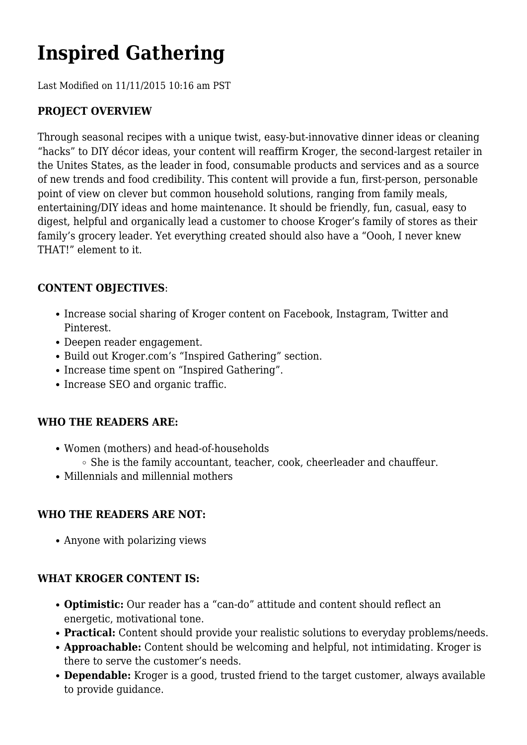# **Inspired Gathering**

Last Modified on 11/11/2015 10:16 am PST

# **PROJECT OVERVIEW**

Through seasonal recipes with a unique twist, easy-but-innovative dinner ideas or cleaning "hacks" to DIY décor ideas, your content will reaffirm Kroger, the second-largest retailer in the Unites States, as the leader in food, consumable products and services and as a source of new trends and food credibility. This content will provide a fun, first-person, personable point of view on clever but common household solutions, ranging from family meals, entertaining/DIY ideas and home maintenance. It should be friendly, fun, casual, easy to digest, helpful and organically lead a customer to choose Kroger's family of stores as their family's grocery leader. Yet everything created should also have a "Oooh, I never knew THAT!" element to it.

## **CONTENT OBJECTIVES**:

- Increase social sharing of Kroger content on Facebook, Instagram, Twitter and Pinterest.
- Deepen reader engagement.
- Build out Kroger.com's "Inspired Gathering" section.
- Increase time spent on "Inspired Gathering".
- Increase SEO and organic traffic.

#### **WHO THE READERS ARE:**

- Women (mothers) and head-of-households
	- $\circ$  She is the family accountant, teacher, cook, cheerleader and chauffeur.
- Millennials and millennial mothers

#### **WHO THE READERS ARE NOT:**

Anyone with polarizing views

#### **WHAT KROGER CONTENT IS:**

- **Optimistic:** Our reader has a "can-do" attitude and content should reflect an energetic, motivational tone.
- **Practical:** Content should provide your realistic solutions to everyday problems/needs.
- **Approachable:** Content should be welcoming and helpful, not intimidating. Kroger is there to serve the customer's needs.
- **Dependable:** Kroger is a good, trusted friend to the target customer, always available to provide guidance.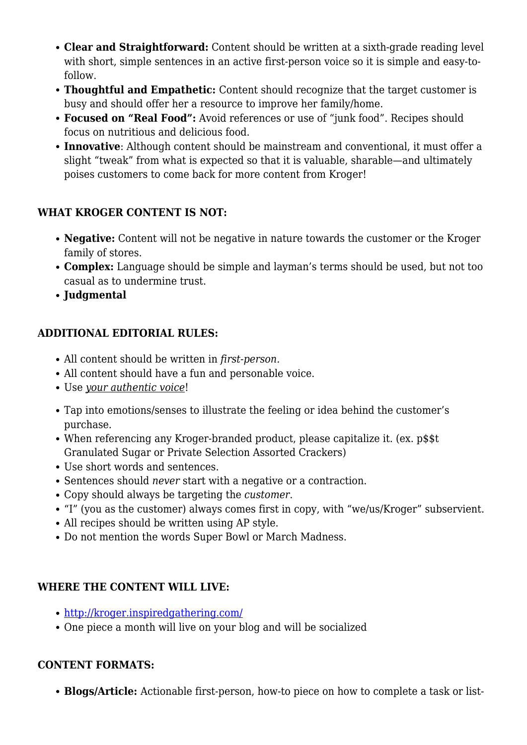- **Clear and Straightforward:** Content should be written at a sixth-grade reading level with short, simple sentences in an active first-person voice so it is simple and easy-tofollow.
- **Thoughtful and Empathetic:** Content should recognize that the target customer is busy and should offer her a resource to improve her family/home.
- **Focused on "Real Food":** Avoid references or use of "junk food". Recipes should focus on nutritious and delicious food.
- **Innovative**: Although content should be mainstream and conventional, it must offer a slight "tweak" from what is expected so that it is valuable, sharable—and ultimately poises customers to come back for more content from Kroger!

## **WHAT KROGER CONTENT IS NOT:**

- **Negative:** Content will not be negative in nature towards the customer or the Kroger family of stores.
- **Complex:** Language should be simple and layman's terms should be used, but not too casual as to undermine trust.
- **Judgmental**

## **ADDITIONAL EDITORIAL RULES:**

- All content should be written in *first-person.*
- All content should have a fun and personable voice.
- Use *your authentic voice*!
- Tap into emotions/senses to illustrate the feeling or idea behind the customer's purchase.
- When referencing any Kroger-branded product, please capitalize it. (ex. p\$\$t Granulated Sugar or Private Selection Assorted Crackers)
- Use short words and sentences.
- Sentences should *never* start with a negative or a contraction.
- Copy should always be targeting the *customer*.
- "I" (you as the customer) always comes first in copy, with "we/us/Kroger" subservient.
- All recipes should be written using AP style.
- Do not mention the words Super Bowl or March Madness.

# **WHERE THE CONTENT WILL LIVE:**

- <http://kroger.inspiredgathering.com/>
- One piece a month will live on your blog and will be socialized

# **CONTENT FORMATS:**

**Blogs/Article:** Actionable first-person, how-to piece on how to complete a task or list-